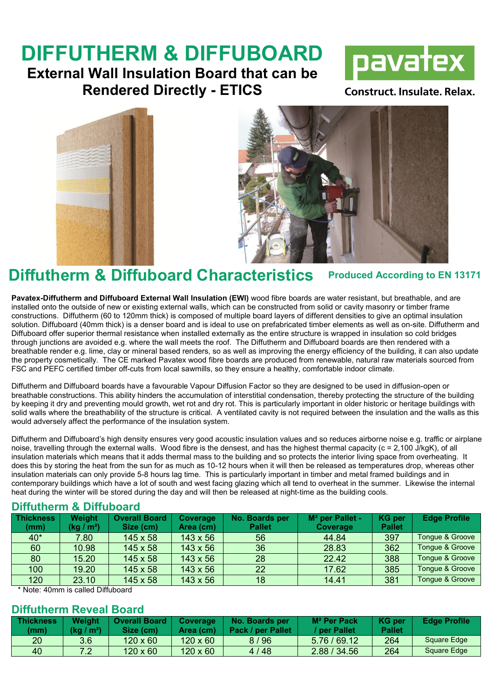# DIFFUTHERM & DIFFUBOARD

### External Wall Insulation Board that can be Rendered Directly - ETICS



**Construct. Insulate. Relax.** 





## Diffutherm & Diffuboard Characteristics Produced According to EN 13171

Pavatex-Diffutherm and Diffuboard External Wall Insulation (EWI) wood fibre boards are water resistant, but breathable, and are installed onto the outside of new or existing external walls, which can be constructed from solid or cavity masonry or timber frame constructions. Diffutherm (60 to 120mm thick) is composed of multiple board layers of different densities to give an optimal insulation solution. Diffuboard (40mm thick) is a denser board and is ideal to use on prefabricated timber elements as well as on-site. Diffutherm and Diffuboard offer superior thermal resistance when installed externally as the entire structure is wrapped in insulation so cold bridges through junctions are avoided e.g. where the wall meets the roof. The Diffutherm and Diffuboard boards are then rendered with a breathable render e.g. lime, clay or mineral based renders, so as well as improving the energy efficiency of the building, it can also update the property cosmetically. The CE marked Pavatex wood fibre boards are produced from renewable, natural raw materials sourced from FSC and PEFC certified timber off-cuts from local sawmills, so they ensure a healthy, comfortable indoor climate.

Diffutherm and Diffuboard boards have a favourable Vapour Diffusion Factor so they are designed to be used in diffusion-open or breathable constructions. This ability hinders the accumulation of interstitial condensation, thereby protecting the structure of the building by keeping it dry and preventing mould growth, wet rot and dry rot. This is particularly important in older historic or heritage buildings with solid walls where the breathability of the structure is critical. A ventilated cavity is not required between the insulation and the walls as this would adversely affect the performance of the insulation system.

Diffutherm and Diffuboard's high density ensures very good acoustic insulation values and so reduces airborne noise e.g. traffic or airplane noise, travelling through the external walls. Wood fibre is the densest, and has the highest thermal capacity (c = 2,100 J/kgK), of all insulation materials which means that it adds thermal mass to the building and so protects the interior living space from overheating. It does this by storing the heat from the sun for as much as 10-12 hours when it will then be released as temperatures drop, whereas other insulation materials can only provide 5-8 hours lag time. This is particularly important in timber and metal framed buildings and in contemporary buildings which have a lot of south and west facing glazing which all tend to overheat in the summer. Likewise the internal heat during the winter will be stored during the day and will then be released at night-time as the building cools.

#### Diffutherm & Diffuboard

| <b>Thickness</b><br>(mm) | Weight<br>(kg / m²) | <b>Overall Board</b><br>Size (cm) | Coverage<br>Area (cm) | No. Boards per<br><b>Pallet</b> | M <sup>2</sup> per Pallet -<br>Coverage | <b>KG</b> per<br><b>Pallet</b> | <b>Edge Profile</b> |
|--------------------------|---------------------|-----------------------------------|-----------------------|---------------------------------|-----------------------------------------|--------------------------------|---------------------|
| 40*                      | 7.80                | $145 \times 58$                   | $143 \times 56$       | 56                              | 44.84                                   | 397                            | Tongue & Groove     |
| 60                       | 10.98               | $145 \times 58$                   | $143 \times 56$       | 36                              | 28.83                                   | 362                            | Tongue & Groove     |
| 80                       | 15.20               | $145 \times 58$                   | $143 \times 56$       | 28                              | 22.42                                   | 388                            | Tongue & Groove     |
| 100                      | 19.20               | 145 x 58                          | $143 \times 56$       | 22                              | 17.62                                   | 385                            | Tonque & Groove     |
| 120                      | 23.10               | $145 \times 58$                   | $143 \times 56$       | 18                              | 14.41                                   | 381                            | Tongue & Groove     |

\* Note: 40mm is called Diffuboard

#### Diffutherm Reveal Board

| <b>Thickness</b><br>(mm) | Weight<br>(ka / m <sup>2</sup> ) | <b>Overall Board</b><br>Size (cm) | Coverage<br>Area (cm) | No. Boards per<br>Pack / per Pallet | $M2$ Per Pack<br>/ per Pallet/ | KG per<br><b>Pallet</b> | <b>Edge Profile</b> |
|--------------------------|----------------------------------|-----------------------------------|-----------------------|-------------------------------------|--------------------------------|-------------------------|---------------------|
| 20                       | 3.6                              | $120 \times 60$                   | $120 \times 60$       | 8 / 96                              | 5.76/69.12                     | 264                     | Square Edge         |
| 40                       | ר י                              | $120 \times 60$                   | $120 \times 60$       | 4 / 48                              | 2.88 / 34.56                   | 264                     | Square Edge         |